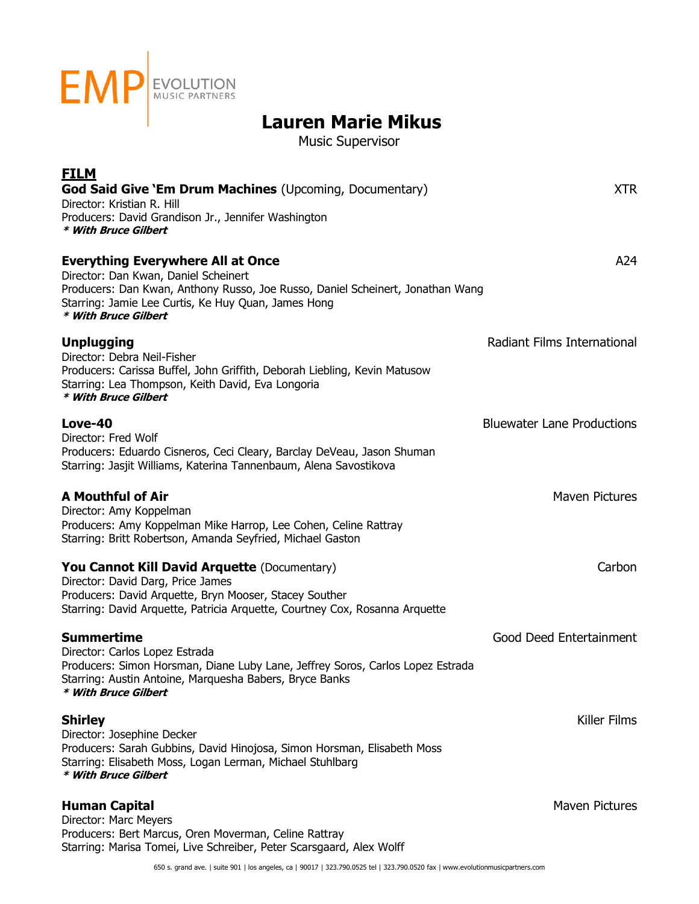

Music Supervisor

| <b>FILM</b>                                                                                                                                 |                                   |
|---------------------------------------------------------------------------------------------------------------------------------------------|-----------------------------------|
| <b>God Said Give `Em Drum Machines (Upcoming, Documentary)</b>                                                                              | <b>XTR</b>                        |
| Director: Kristian R. Hill<br>Producers: David Grandison Jr., Jennifer Washington                                                           |                                   |
| * With Bruce Gilbert                                                                                                                        |                                   |
| <b>Everything Everywhere All at Once</b>                                                                                                    | A24                               |
| Director: Dan Kwan, Daniel Scheinert                                                                                                        |                                   |
| Producers: Dan Kwan, Anthony Russo, Joe Russo, Daniel Scheinert, Jonathan Wang                                                              |                                   |
| Starring: Jamie Lee Curtis, Ke Huy Quan, James Hong<br>* With Bruce Gilbert                                                                 |                                   |
| <b>Unplugging</b>                                                                                                                           | Radiant Films International       |
| Director: Debra Neil-Fisher                                                                                                                 |                                   |
| Producers: Carissa Buffel, John Griffith, Deborah Liebling, Kevin Matusow                                                                   |                                   |
| Starring: Lea Thompson, Keith David, Eva Longoria<br>* With Bruce Gilbert                                                                   |                                   |
| Love-40                                                                                                                                     | <b>Bluewater Lane Productions</b> |
| Director: Fred Wolf                                                                                                                         |                                   |
| Producers: Eduardo Cisneros, Ceci Cleary, Barclay DeVeau, Jason Shuman<br>Starring: Jasjit Williams, Katerina Tannenbaum, Alena Savostikova |                                   |
|                                                                                                                                             |                                   |
| <b>A Mouthful of Air</b>                                                                                                                    | <b>Maven Pictures</b>             |
| Director: Amy Koppelman<br>Producers: Amy Koppelman Mike Harrop, Lee Cohen, Celine Rattray                                                  |                                   |
| Starring: Britt Robertson, Amanda Seyfried, Michael Gaston                                                                                  |                                   |
| <b>You Cannot Kill David Arquette (Documentary)</b>                                                                                         | Carbon                            |
| Director: David Darg, Price James                                                                                                           |                                   |
| Producers: David Arquette, Bryn Mooser, Stacey Souther                                                                                      |                                   |
| Starring: David Arquette, Patricia Arquette, Courtney Cox, Rosanna Arquette                                                                 |                                   |
| <b>Summertime</b>                                                                                                                           | Good Deed Entertainment           |
| Director: Carlos Lopez Estrada<br>Producers: Simon Horsman, Diane Luby Lane, Jeffrey Soros, Carlos Lopez Estrada                            |                                   |
| Starring: Austin Antoine, Marquesha Babers, Bryce Banks                                                                                     |                                   |
| * With Bruce Gilbert                                                                                                                        |                                   |
| <b>Shirley</b>                                                                                                                              | Killer Films                      |
| Director: Josephine Decker<br>Producers: Sarah Gubbins, David Hinojosa, Simon Horsman, Elisabeth Moss                                       |                                   |
| Starring: Elisabeth Moss, Logan Lerman, Michael Stuhlbarg                                                                                   |                                   |
| * With Bruce Gilbert                                                                                                                        |                                   |
| <b>Human Capital</b>                                                                                                                        | Maven Pictures                    |
| Director: Marc Meyers                                                                                                                       |                                   |
| Producers: Bert Marcus, Oren Moverman, Celine Rattray<br>Starring: Marisa Tomei, Live Schreiber, Peter Scarsgaard, Alex Wolff               |                                   |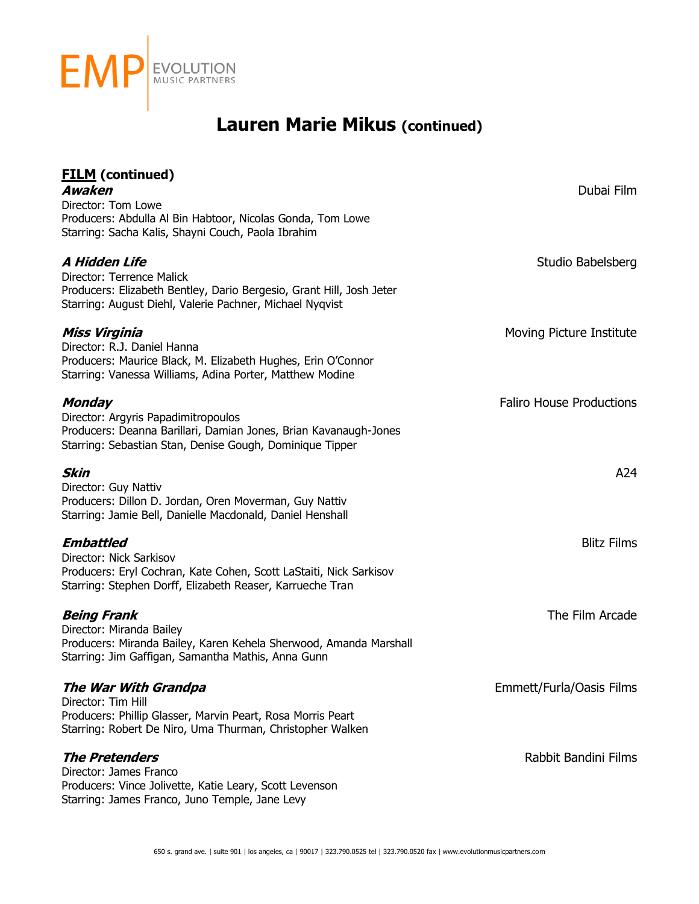

| <b>FILM</b> (continued)<br>Awaken                                                                                                                                                    | Dubai Film                      |
|--------------------------------------------------------------------------------------------------------------------------------------------------------------------------------------|---------------------------------|
| Director: Tom Lowe<br>Producers: Abdulla Al Bin Habtoor, Nicolas Gonda, Tom Lowe<br>Starring: Sacha Kalis, Shayni Couch, Paola Ibrahim                                               |                                 |
| A Hidden Life<br>Director: Terrence Malick<br>Producers: Elizabeth Bentley, Dario Bergesio, Grant Hill, Josh Jeter<br>Starring: August Diehl, Valerie Pachner, Michael Nyqvist       | Studio Babelsberg               |
| Miss Virginia<br>Director: R.J. Daniel Hanna<br>Producers: Maurice Black, M. Elizabeth Hughes, Erin O'Connor<br>Starring: Vanessa Williams, Adina Porter, Matthew Modine             | Moving Picture Institute        |
| <b>Monday</b><br>Director: Argyris Papadimitropoulos<br>Producers: Deanna Barillari, Damian Jones, Brian Kavanaugh-Jones<br>Starring: Sebastian Stan, Denise Gough, Dominique Tipper | <b>Faliro House Productions</b> |
| <b>Skin</b><br>Director: Guy Nattiv<br>Producers: Dillon D. Jordan, Oren Moverman, Guy Nattiv<br>Starring: Jamie Bell, Danielle Macdonald, Daniel Henshall                           | A24                             |
| <b>Embattled</b><br>Director: Nick Sarkisov<br>Producers: Eryl Cochran, Kate Cohen, Scott LaStaiti, Nick Sarkisov<br>Starring: Stephen Dorff, Elizabeth Reaser, Karrueche Tran       | <b>Blitz Films</b>              |
| <b>Being Frank</b><br>Director: Miranda Bailey<br>Producers: Miranda Bailey, Karen Kehela Sherwood, Amanda Marshall<br>Starring: Jim Gaffigan, Samantha Mathis, Anna Gunn            | The Film Arcade                 |
| The War With Grandpa<br>Director: Tim Hill<br>Producers: Phillip Glasser, Marvin Peart, Rosa Morris Peart<br>Starring: Robert De Niro, Uma Thurman, Christopher Walken               | Emmett/Furla/Oasis Films        |
| <b>The Pretenders</b><br>Director: James Franco<br>Producers: Vince Jolivette, Katie Leary, Scott Levenson<br>Starring: James Franco, Juno Temple, Jane Levy                         | Rabbit Bandini Films            |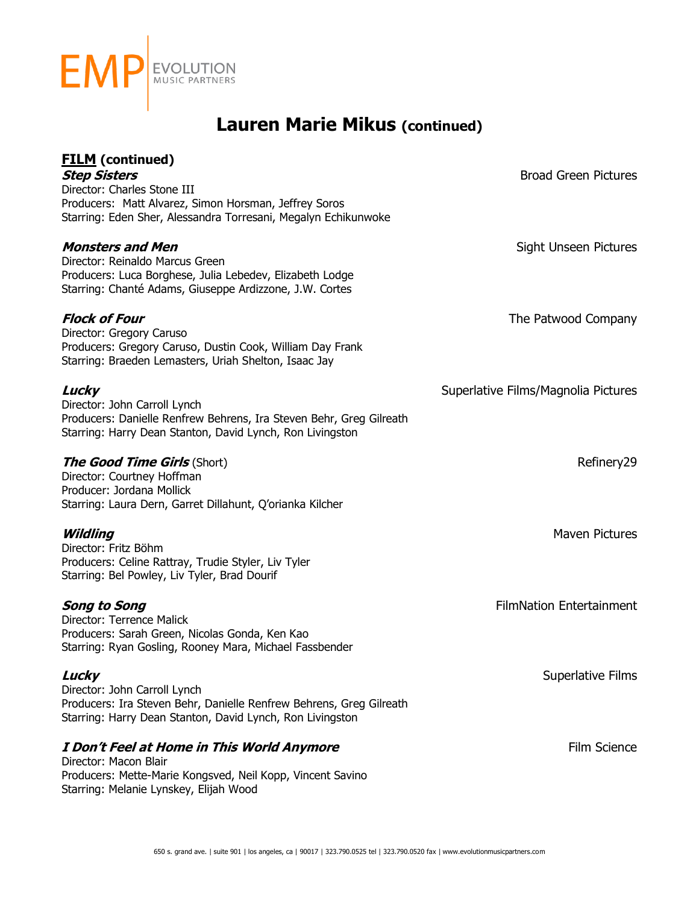

| <b>FILM</b> (continued)<br><b>Step Sisters</b><br>Director: Charles Stone III<br>Producers: Matt Alvarez, Simon Horsman, Jeffrey Soros<br>Starring: Eden Sher, Alessandra Torresani, Megalyn Echikunwoke | <b>Broad Green Pictures</b>         |
|----------------------------------------------------------------------------------------------------------------------------------------------------------------------------------------------------------|-------------------------------------|
| <b>Monsters and Men</b><br>Director: Reinaldo Marcus Green<br>Producers: Luca Borghese, Julia Lebedev, Elizabeth Lodge<br>Starring: Chanté Adams, Giuseppe Ardizzone, J.W. Cortes                        | Sight Unseen Pictures               |
| <b>Flock of Four</b><br>Director: Gregory Caruso<br>Producers: Gregory Caruso, Dustin Cook, William Day Frank<br>Starring: Braeden Lemasters, Uriah Shelton, Isaac Jay                                   | The Patwood Company                 |
| Lucky<br>Director: John Carroll Lynch<br>Producers: Danielle Renfrew Behrens, Ira Steven Behr, Greg Gilreath<br>Starring: Harry Dean Stanton, David Lynch, Ron Livingston                                | Superlative Films/Magnolia Pictures |
| <b>The Good Time Girls (Short)</b><br>Director: Courtney Hoffman<br>Producer: Jordana Mollick<br>Starring: Laura Dern, Garret Dillahunt, Q'orianka Kilcher                                               | Refinery29                          |
| Wildling<br>Director: Fritz Böhm<br>Producers: Celine Rattray, Trudie Styler, Liv Tyler<br>Starring: Bel Powley, Liv Tyler, Brad Dourif                                                                  | <b>Maven Pictures</b>               |
| <b>Song to Song</b><br>Director: Terrence Malick<br>Producers: Sarah Green, Nicolas Gonda, Ken Kao<br>Starring: Ryan Gosling, Rooney Mara, Michael Fassbender                                            | <b>FilmNation Entertainment</b>     |
| Lucky<br>Director: John Carroll Lynch<br>Producers: Ira Steven Behr, Danielle Renfrew Behrens, Greg Gilreath<br>Starring: Harry Dean Stanton, David Lynch, Ron Livingston                                | Superlative Films                   |
| I Don't Feel at Home in This World Anymore<br>Director: Macon Blair<br>Producers: Mette-Marie Kongsved, Neil Kopp, Vincent Savino<br>Starring: Melanie Lynskey, Elijah Wood                              | Film Science                        |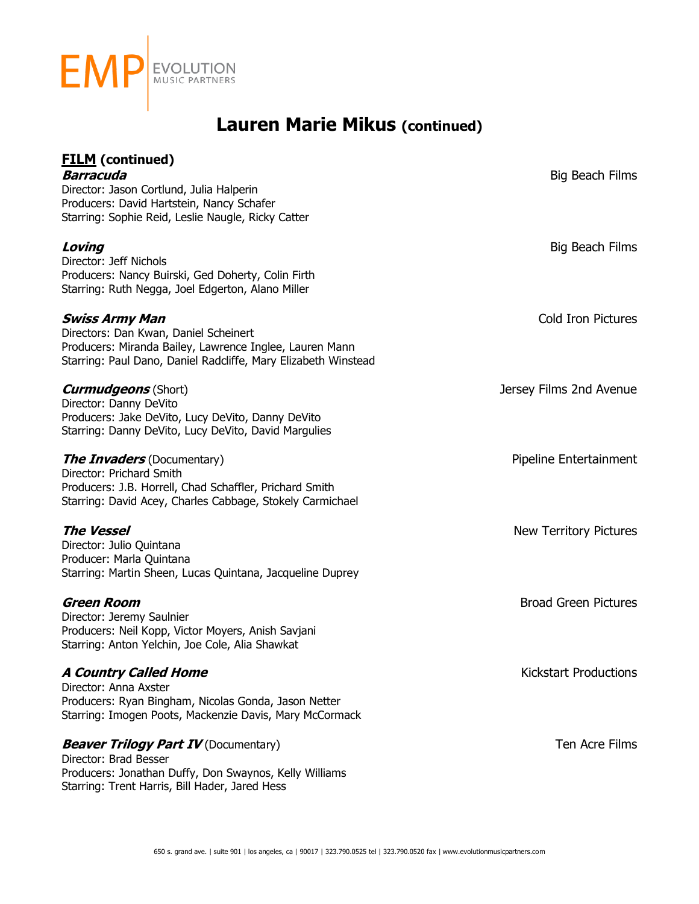

| <b>FILM</b> (continued)<br><b>Barracuda</b><br>Director: Jason Cortlund, Julia Halperin<br>Producers: David Hartstein, Nancy Schafer<br>Starring: Sophie Reid, Leslie Naugle, Ricky Catter  | Big Beach Films               |
|---------------------------------------------------------------------------------------------------------------------------------------------------------------------------------------------|-------------------------------|
| Loving<br>Director: Jeff Nichols<br>Producers: Nancy Buirski, Ged Doherty, Colin Firth<br>Starring: Ruth Negga, Joel Edgerton, Alano Miller                                                 | Big Beach Films               |
| <b>Swiss Army Man</b><br>Directors: Dan Kwan, Daniel Scheinert<br>Producers: Miranda Bailey, Lawrence Inglee, Lauren Mann<br>Starring: Paul Dano, Daniel Radcliffe, Mary Elizabeth Winstead | <b>Cold Iron Pictures</b>     |
| <b>Curmudgeons</b> (Short)<br>Director: Danny DeVito<br>Producers: Jake DeVito, Lucy DeVito, Danny DeVito<br>Starring: Danny DeVito, Lucy DeVito, David Margulies                           | Jersey Films 2nd Avenue       |
| <b>The Invaders</b> (Documentary)<br>Director: Prichard Smith<br>Producers: J.B. Horrell, Chad Schaffler, Prichard Smith<br>Starring: David Acey, Charles Cabbage, Stokely Carmichael       | Pipeline Entertainment        |
| <b>The Vessel</b><br>Director: Julio Quintana<br>Producer: Marla Quintana<br>Starring: Martin Sheen, Lucas Quintana, Jacqueline Duprey                                                      | <b>New Territory Pictures</b> |
| <b>Green Room</b><br>Director: Jeremy Saulnier<br>Producers: Neil Kopp, Victor Moyers, Anish Savjani<br>Starring: Anton Yelchin, Joe Cole, Alia Shawkat                                     | <b>Broad Green Pictures</b>   |
| <b>A Country Called Home</b><br>Director: Anna Axster<br>Producers: Ryan Bingham, Nicolas Gonda, Jason Netter<br>Starring: Imogen Poots, Mackenzie Davis, Mary McCormack                    | <b>Kickstart Productions</b>  |
| <b>Beaver Trilogy Part IV</b> (Documentary)<br>Director: Brad Besser<br>Producers: Jonathan Duffy, Don Swaynos, Kelly Williams<br>Starring: Trent Harris, Bill Hader, Jared Hess            | Ten Acre Films                |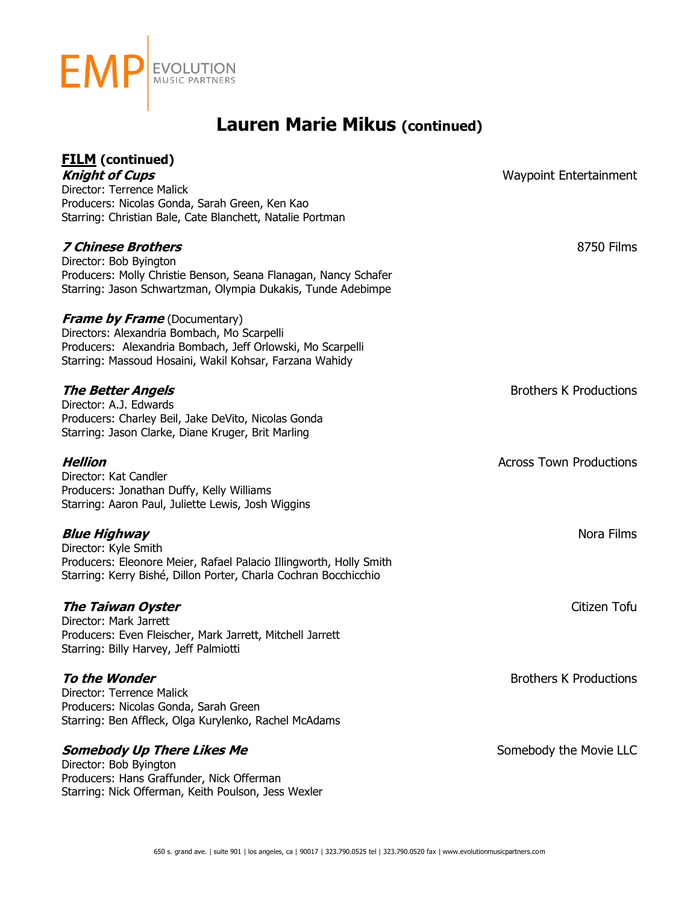

| <b>FILM</b> (continued)<br><b>Knight of Cups</b><br>Director: Terrence Malick<br>Producers: Nicolas Gonda, Sarah Green, Ken Kao<br>Starring: Christian Bale, Cate Blanchett, Natalie Portman                | <b>Waypoint Entertainment</b>  |
|-------------------------------------------------------------------------------------------------------------------------------------------------------------------------------------------------------------|--------------------------------|
| <b>7 Chinese Brothers</b><br>Director: Bob Byington<br>Producers: Molly Christie Benson, Seana Flanagan, Nancy Schafer<br>Starring: Jason Schwartzman, Olympia Dukakis, Tunde Adebimpe                      | 8750 Films                     |
| <b>Frame by Frame</b> (Documentary)<br>Directors: Alexandria Bombach, Mo Scarpelli<br>Producers: Alexandria Bombach, Jeff Orlowski, Mo Scarpelli<br>Starring: Massoud Hosaini, Wakil Kohsar, Farzana Wahidy |                                |
| <b>The Better Angels</b><br>Director: A.J. Edwards<br>Producers: Charley Beil, Jake DeVito, Nicolas Gonda<br>Starring: Jason Clarke, Diane Kruger, Brit Marling                                             | <b>Brothers K Productions</b>  |
| <b>Hellion</b><br>Director: Kat Candler<br>Producers: Jonathan Duffy, Kelly Williams<br>Starring: Aaron Paul, Juliette Lewis, Josh Wiggins                                                                  | <b>Across Town Productions</b> |
| <b>Blue Highway</b><br>Director: Kyle Smith<br>Producers: Eleonore Meier, Rafael Palacio Illingworth, Holly Smith<br>Starring: Kerry Bishé, Dillon Porter, Charla Cochran Bocchicchio                       | Nora Films                     |
| <b>The Taiwan Oyster</b><br>Director: Mark Jarrett<br>Producers: Even Fleischer, Mark Jarrett, Mitchell Jarrett<br>Starring: Billy Harvey, Jeff Palmiotti                                                   | Citizen Tofu                   |
| To the Wonder<br>Director: Terrence Malick<br>Producers: Nicolas Gonda, Sarah Green<br>Starring: Ben Affleck, Olga Kurylenko, Rachel McAdams                                                                | <b>Brothers K Productions</b>  |
| <b>Somebody Up There Likes Me</b><br>Director: Bob Byington<br>Producers: Hans Graffunder, Nick Offerman<br>Starring: Nick Offerman, Keith Poulson, Jess Wexler                                             | Somebody the Movie LLC         |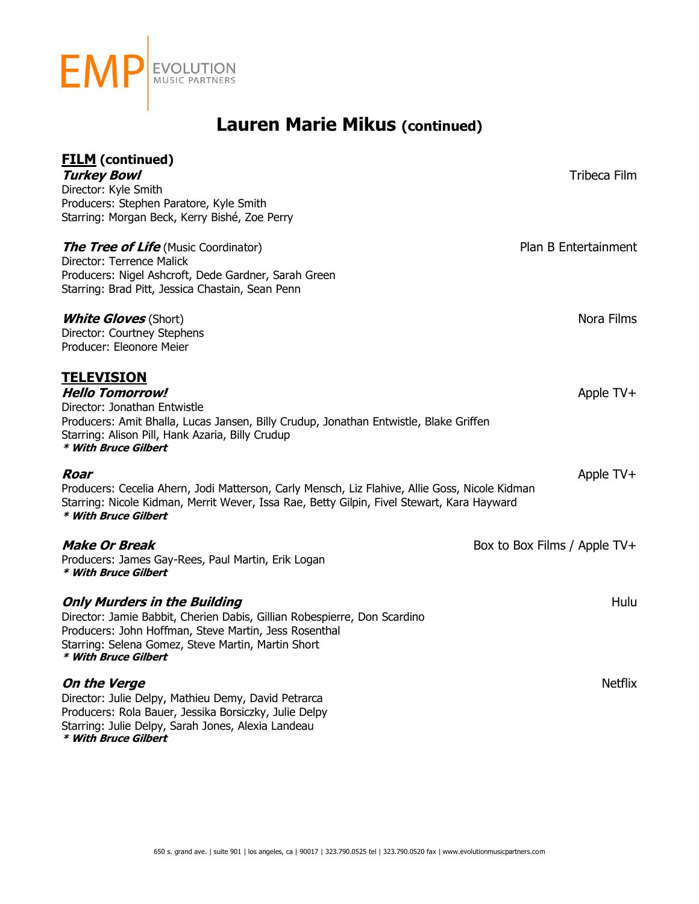

| <b>FILM</b> (continued)<br><b>Turkey Bowl</b>                                                                                                                                                                                                          | Tribeca Film                 |
|--------------------------------------------------------------------------------------------------------------------------------------------------------------------------------------------------------------------------------------------------------|------------------------------|
| Director: Kyle Smith<br>Producers: Stephen Paratore, Kyle Smith<br>Starring: Morgan Beck, Kerry Bishé, Zoe Perry                                                                                                                                       |                              |
| <b>The Tree of Life</b> (Music Coordinator)<br>Director: Terrence Malick<br>Producers: Nigel Ashcroft, Dede Gardner, Sarah Green<br>Starring: Brad Pitt, Jessica Chastain, Sean Penn                                                                   | Plan B Entertainment         |
| <b>White Gloves</b> (Short)<br>Director: Courtney Stephens<br>Producer: Eleonore Meier                                                                                                                                                                 | Nora Films                   |
| <u>TELEVISION</u><br><b>Hello Tomorrow!</b><br>Director: Jonathan Entwistle<br>Producers: Amit Bhalla, Lucas Jansen, Billy Crudup, Jonathan Entwistle, Blake Griffen<br>Starring: Alison Pill, Hank Azaria, Billy Crudup<br>* With Bruce Gilbert       | Apple TV+                    |
| Roar<br>Producers: Cecelia Ahern, Jodi Matterson, Carly Mensch, Liz Flahive, Allie Goss, Nicole Kidman<br>Starring: Nicole Kidman, Merrit Wever, Issa Rae, Betty Gilpin, Fivel Stewart, Kara Hayward<br>* With Bruce Gilbert                           | Apple TV+                    |
| <b>Make Or Break</b><br>Producers: James Gay-Rees, Paul Martin, Erik Logan<br>* With Bruce Gilbert                                                                                                                                                     | Box to Box Films / Apple TV+ |
| <b>Only Murders in the Building</b><br>Director: Jamie Babbit, Cherien Dabis, Gillian Robespierre, Don Scardino<br>Producers: John Hoffman, Steve Martin, Jess Rosenthal<br>Starring: Selena Gomez, Steve Martin, Martin Short<br>* With Bruce Gilbert | Hulu                         |
| On the Verge<br>Director: Julie Delpy, Mathieu Demy, David Petrarca<br>Producers: Rola Bauer, Jessika Borsiczky, Julie Delpy<br>Starring: Julie Delpy, Sarah Jones, Alexia Landeau<br>* With Bruce Gilbert                                             | <b>Netflix</b>               |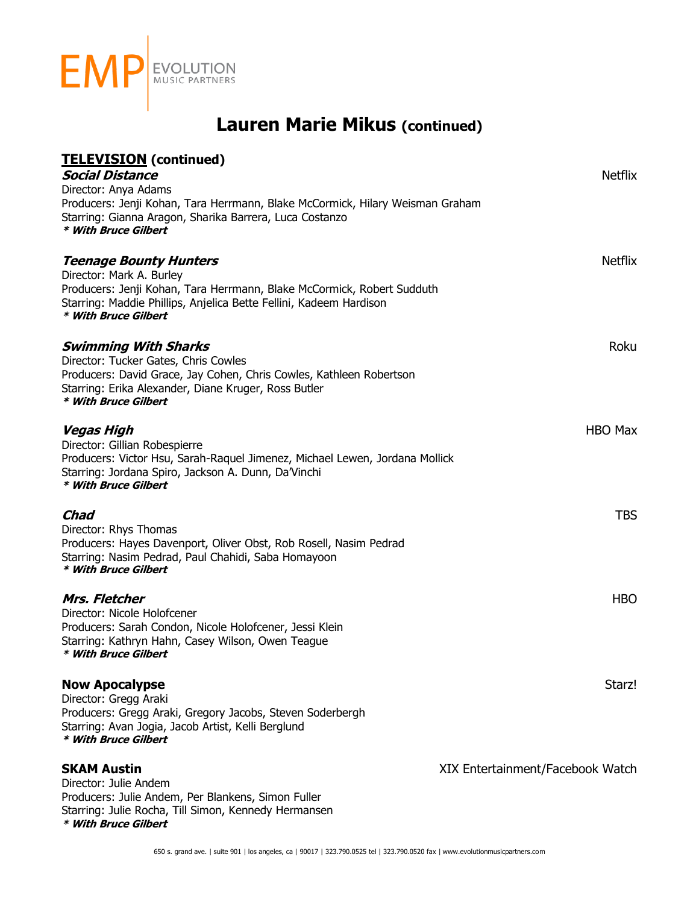

| <b>TELEVISION</b> (continued)                                                                                                                              |                                  |
|------------------------------------------------------------------------------------------------------------------------------------------------------------|----------------------------------|
| <b>Social Distance</b><br>Director: Anya Adams                                                                                                             | <b>Netflix</b>                   |
| Producers: Jenji Kohan, Tara Herrmann, Blake McCormick, Hilary Weisman Graham                                                                              |                                  |
| Starring: Gianna Aragon, Sharika Barrera, Luca Costanzo<br>* With Bruce Gilbert                                                                            |                                  |
| <b>Teenage Bounty Hunters</b>                                                                                                                              | <b>Netflix</b>                   |
| Director: Mark A. Burley<br>Producers: Jenji Kohan, Tara Herrmann, Blake McCormick, Robert Sudduth                                                         |                                  |
| Starring: Maddie Phillips, Anjelica Bette Fellini, Kadeem Hardison<br>* With Bruce Gilbert                                                                 |                                  |
| <b>Swimming With Sharks</b>                                                                                                                                | Roku                             |
| Director: Tucker Gates, Chris Cowles<br>Producers: David Grace, Jay Cohen, Chris Cowles, Kathleen Robertson                                                |                                  |
| Starring: Erika Alexander, Diane Kruger, Ross Butler<br>* With Bruce Gilbert                                                                               |                                  |
| Vegas High                                                                                                                                                 | <b>HBO Max</b>                   |
| Director: Gillian Robespierre                                                                                                                              |                                  |
| Producers: Victor Hsu, Sarah-Raquel Jimenez, Michael Lewen, Jordana Mollick<br>Starring: Jordana Spiro, Jackson A. Dunn, Da'Vinchi<br>* With Bruce Gilbert |                                  |
| Chad                                                                                                                                                       | <b>TBS</b>                       |
| Director: Rhys Thomas                                                                                                                                      |                                  |
| Producers: Hayes Davenport, Oliver Obst, Rob Rosell, Nasim Pedrad<br>Starring: Nasim Pedrad, Paul Chahidi, Saba Homayoon                                   |                                  |
| * With Bruce Gilbert                                                                                                                                       |                                  |
| Mrs. Fletcher                                                                                                                                              | <b>HBO</b>                       |
| Director: Nicole Holofcener                                                                                                                                |                                  |
| Producers: Sarah Condon, Nicole Holofcener, Jessi Klein<br>Starring: Kathryn Hahn, Casey Wilson, Owen Teague                                               |                                  |
| * With Bruce Gilbert                                                                                                                                       |                                  |
| <b>Now Apocalypse</b>                                                                                                                                      | Starz!                           |
| Director: Gregg Araki<br>Producers: Gregg Araki, Gregory Jacobs, Steven Soderbergh                                                                         |                                  |
| Starring: Avan Jogia, Jacob Artist, Kelli Berglund<br>* With Bruce Gilbert                                                                                 |                                  |
| <b>SKAM Austin</b>                                                                                                                                         | XIX Entertainment/Facebook Watch |
| Director: Julie Andem                                                                                                                                      |                                  |
| Producers: Julie Andem, Per Blankens, Simon Fuller<br>Starring: Julie Rocha, Till Simon, Kennedy Hermansen<br>* With Bruce Gilbert                         |                                  |
|                                                                                                                                                            |                                  |